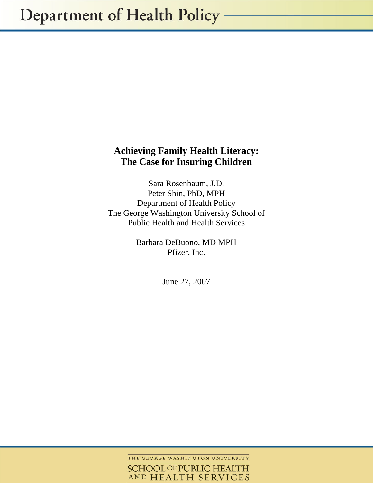# **Achieving Family Health Literacy: The Case for Insuring Children**

Sara Rosenbaum, J.D. Peter Shin, PhD, MPH Department of Health Policy The George Washington University School of Public Health and Health Services

> Barbara DeBuono, MD MPH Pfizer, Inc.

> > June 27, 2007

THE GEORGE WASHINGTON UNIVERSITY **SCHOOL OF PUBLIC HEALTH** AND HEALTH SERVICES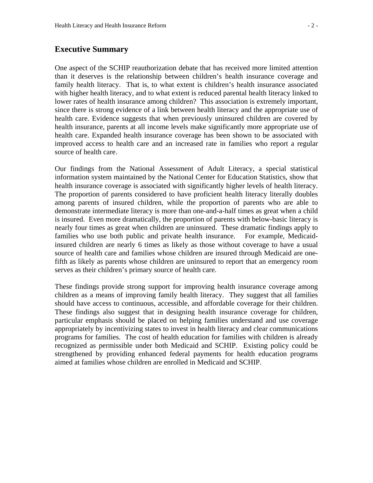# **Executive Summary**

One aspect of the SCHIP reauthorization debate that has received more limited attention than it deserves is the relationship between children's health insurance coverage and family health literacy. That is, to what extent is children's health insurance associated with higher health literacy, and to what extent is reduced parental health literacy linked to lower rates of health insurance among children? This association is extremely important, since there is strong evidence of a link between health literacy and the appropriate use of health care. Evidence suggests that when previously uninsured children are covered by health insurance, parents at all income levels make significantly more appropriate use of health care. Expanded health insurance coverage has been shown to be associated with improved access to health care and an increased rate in families who report a regular source of health care.

Our findings from the National Assessment of Adult Literacy, a special statistical information system maintained by the National Center for Education Statistics, show that health insurance coverage is associated with significantly higher levels of health literacy. The proportion of parents considered to have proficient health literacy literally doubles among parents of insured children, while the proportion of parents who are able to demonstrate intermediate literacy is more than one-and-a-half times as great when a child is insured. Even more dramatically, the proportion of parents with below-basic literacy is nearly four times as great when children are uninsured. These dramatic findings apply to families who use both public and private health insurance. For example, Medicaidinsured children are nearly 6 times as likely as those without coverage to have a usual source of health care and families whose children are insured through Medicaid are onefifth as likely as parents whose children are uninsured to report that an emergency room serves as their children's primary source of health care.

These findings provide strong support for improving health insurance coverage among children as a means of improving family health literacy. They suggest that all families should have access to continuous, accessible, and affordable coverage for their children. These findings also suggest that in designing health insurance coverage for children, particular emphasis should be placed on helping families understand and use coverage appropriately by incentivizing states to invest in health literacy and clear communications programs for families. The cost of health education for families with children is already recognized as permissible under both Medicaid and SCHIP. Existing policy could be strengthened by providing enhanced federal payments for health education programs aimed at families whose children are enrolled in Medicaid and SCHIP.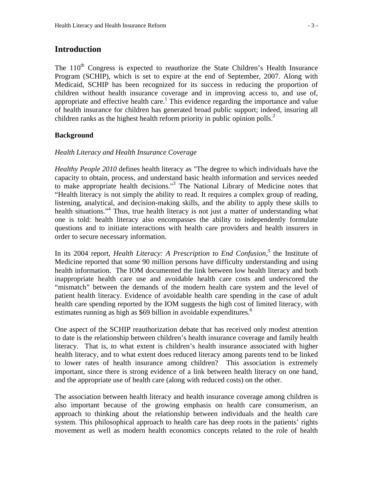# **Introduction**

The  $110<sup>th</sup>$  Congress is expected to reauthorize the State Children's Health Insurance Program (SCHIP), which is set to expire at the end of September, 2007. Along with Medicaid, SCHIP has been recognized for its success in reducing the proportion of children without health insurance coverage and in improving access to, and use of, appropriate and effective health care.<sup>1</sup> This evidence regarding the importance and value of health insurance for children has generated broad public support; indeed, insuring all children ranks as the highest health reform priority in public opinion polls.<sup>2</sup>

# **Background**

#### *Health Literacy and Health Insurance Coverage*

*Healthy People 2010* defines health literacy as "The degree to which individuals have the capacity to obtain, process, and understand basic health information and services needed to make appropriate health decisions."<sup>3</sup> The National Library of Medicine notes that "Health literacy is not simply the ability to read. It requires a complex group of reading, listening, analytical, and decision-making skills, and the ability to apply these skills to health situations."<sup>4</sup> Thus, true health literacy is not just a matter of understanding what one is told: health literacy also encompasses the ability to independently formulate questions and to initiate interactions with health care providers and health insurers in order to secure necessary information.

In its 2004 report, *Health Literacy: A Prescription to End Confusion*,<sup>5</sup> the Institute of Medicine reported that some 90 million persons have difficulty understanding and using health information. The IOM documented the link between low health literacy and both inappropriate health care use and avoidable health care costs and underscored the "mismatch" between the demands of the modern health care system and the level of patient health literacy. Evidence of avoidable health care spending in the case of adult health care spending reported by the IOM suggests the high cost of limited literacy, with estimates running as high as \$69 billion in avoidable expenditures.<sup>6</sup>

One aspect of the SCHIP reauthorization debate that has received only modest attention to date is the relationship between children's health insurance coverage and family health literacy. That is, to what extent is children's health insurance associated with higher health literacy, and to what extent does reduced literacy among parents tend to be linked to lower rates of health insurance among children? This association is extremely important, since there is strong evidence of a link between health literacy on one hand, and the appropriate use of health care (along with reduced costs) on the other.

The association between health literacy and health insurance coverage among children is also important because of the growing emphasis on health care consumerism, an approach to thinking about the relationship between individuals and the health care system. This philosophical approach to health care has deep roots in the patients' rights movement as well as modern health economics concepts related to the role of health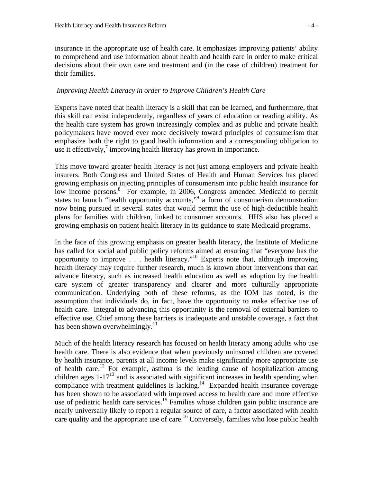insurance in the appropriate use of health care. It emphasizes improving patients' ability to comprehend and use information about health and health care in order to make critical decisions about their own care and treatment and (in the case of children) treatment for their families.

#### *Improving Health Literacy in order to Improve Children's Health Care*

Experts have noted that health literacy is a skill that can be learned, and furthermore, that this skill can exist independently, regardless of years of education or reading ability. As the health care system has grown increasingly complex and as public and private health policymakers have moved ever more decisively toward principles of consumerism that emphasize both the right to good health information and a corresponding obligation to use it effectively, $\frac{7}{7}$  improving health literacy has grown in importance.

This move toward greater health literacy is not just among employers and private health insurers. Both Congress and United States of Health and Human Services has placed growing emphasis on injecting principles of consumerism into public health insurance for low income persons.<sup>8</sup> For example, in 2006, Congress amended Medicaid to permit states to launch "health opportunity accounts,"<sup>9</sup> a form of consumerism demonstration now being pursued in several states that would permit the use of high-deductible health plans for families with children, linked to consumer accounts. HHS also has placed a growing emphasis on patient health literacy in its guidance to state Medicaid programs.

In the face of this growing emphasis on greater health literacy, the Institute of Medicine has called for social and public policy reforms aimed at ensuring that "everyone has the opportunity to improve . . . health literacy."10 Experts note that, although improving health literacy may require further research, much is known about interventions that can advance literacy, such as increased health education as well as adoption by the health care system of greater transparency and clearer and more culturally appropriate communication. Underlying both of these reforms, as the IOM has noted, is the assumption that individuals do, in fact, have the opportunity to make effective use of health care. Integral to advancing this opportunity is the removal of external barriers to effective use. Chief among these barriers is inadequate and unstable coverage, a fact that has been shown overwhelmingly. $^{11}$ 

Much of the health literacy research has focused on health literacy among adults who use health care. There is also evidence that when previously uninsured children are covered by health insurance, parents at all income levels make significantly more appropriate use of health care.<sup>12</sup> For example, asthma is the leading cause of hospitalization among children ages  $1-17^{13}$  and is associated with significant increases in health spending when compliance with treatment guidelines is lacking.<sup>14</sup> Expanded health insurance coverage has been shown to be associated with improved access to health care and more effective use of pediatric health care services.<sup>15</sup> Families whose children gain public insurance are nearly universally likely to report a regular source of care, a factor associated with health care quality and the appropriate use of care.<sup>16</sup> Conversely, families who lose public health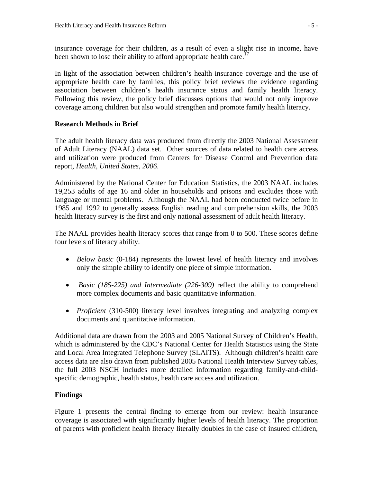insurance coverage for their children, as a result of even a slight rise in income, have been shown to lose their ability to afford appropriate health care.<sup>17</sup>

In light of the association between children's health insurance coverage and the use of appropriate health care by families, this policy brief reviews the evidence regarding association between children's health insurance status and family health literacy. Following this review, the policy brief discusses options that would not only improve coverage among children but also would strengthen and promote family health literacy.

# **Research Methods in Brief**

The adult health literacy data was produced from directly the 2003 National Assessment of Adult Literacy (NAAL) data set. Other sources of data related to health care access and utilization were produced from Centers for Disease Control and Prevention data report, *Health, United States, 2006*.

Administered by the National Center for Education Statistics, the 2003 NAAL includes 19,253 adults of age 16 and older in households and prisons and excludes those with language or mental problems. Although the NAAL had been conducted twice before in 1985 and 1992 to generally assess English reading and comprehension skills, the 2003 health literacy survey is the first and only national assessment of adult health literacy.

The NAAL provides health literacy scores that range from 0 to 500. These scores define four levels of literacy ability.

- *Below basic* (0-184) represents the lowest level of health literacy and involves only the simple ability to identify one piece of simple information.
- *Basic (185-225) and Intermediate (226-309)* reflect the ability to comprehend more complex documents and basic quantitative information.
- *Proficient* (310-500) literacy level involves integrating and analyzing complex documents and quantitative information.

Additional data are drawn from the 2003 and 2005 National Survey of Children's Health, which is administered by the CDC's National Center for Health Statistics using the State and Local Area Integrated Telephone Survey (SLAITS). Although children's health care access data are also drawn from published 2005 National Health Interview Survey tables, the full 2003 NSCH includes more detailed information regarding family-and-childspecific demographic, health status, health care access and utilization.

#### **Findings**

Figure 1 presents the central finding to emerge from our review: health insurance coverage is associated with significantly higher levels of health literacy. The proportion of parents with proficient health literacy literally doubles in the case of insured children,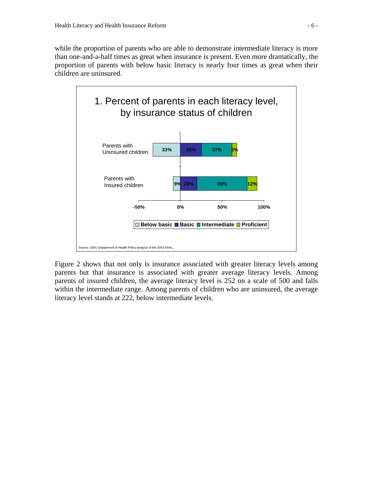while the proportion of parents who are able to demonstrate intermediate literacy is more than one-and-a-half times as great when insurance is present. Even more dramatically, the proportion of parents with below basic literacy is nearly four times as great when their children are uninsured.



Figure 2 shows that not only is insurance associated with greater literacy levels among parents but that insurance is associated with greater average literacy levels. Among parents of insured children, the average literacy level is 252 on a scale of 500 and falls within the intermediate range. Among parents of children who are uninsured, the average literacy level stands at 222, below intermediate levels.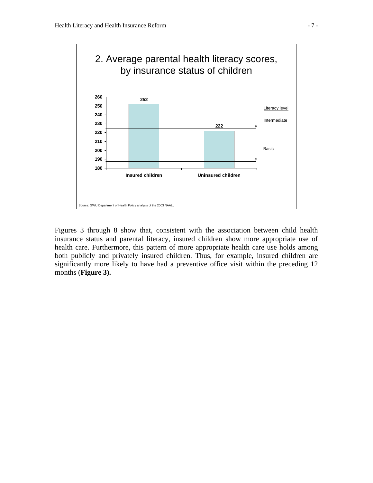

Figures 3 through 8 show that, consistent with the association between child health insurance status and parental literacy, insured children show more appropriate use of health care. Furthermore, this pattern of more appropriate health care use holds among both publicly and privately insured children. Thus, for example, insured children are significantly more likely to have had a preventive office visit within the preceding 12 months (**Figure 3).**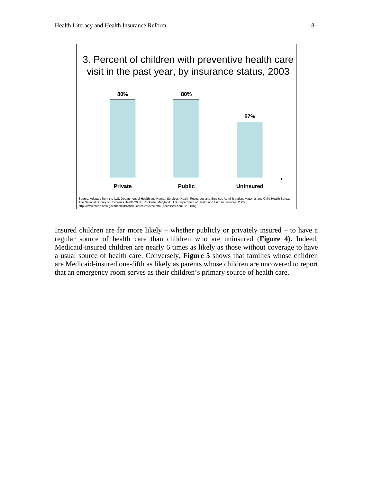

Insured children are far more likely – whether publicly or privately insured – to have a regular source of health care than children who are uninsured (**Figure 4).** Indeed, Medicaid-insured children are nearly 6 times as likely as those without coverage to have a usual source of health care. Conversely, **Figure 5** shows that families whose children are Medicaid-insured one-fifth as likely as parents whose children are uncovered to report that an emergency room serves as their children's primary source of health care.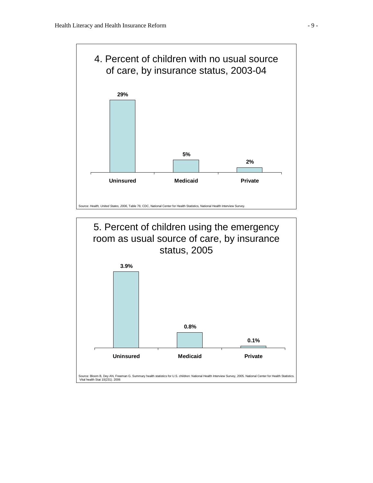

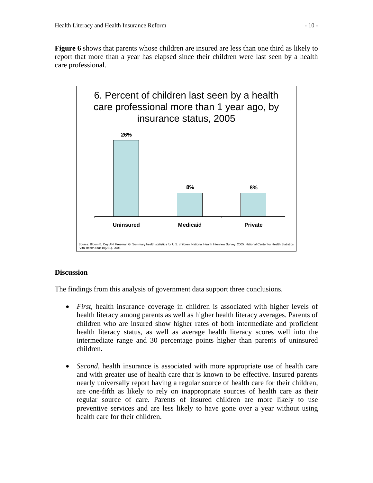**Figure 6** shows that parents whose children are insured are less than one third as likely to report that more than a year has elapsed since their children were last seen by a health care professional.



# **Discussion**

The findings from this analysis of government data support three conclusions.

- *First*, health insurance coverage in children is associated with higher levels of health literacy among parents as well as higher health literacy averages. Parents of children who are insured show higher rates of both intermediate and proficient health literacy status, as well as average health literacy scores well into the intermediate range and 30 percentage points higher than parents of uninsured children.
- *Second*, health insurance is associated with more appropriate use of health care and with greater use of health care that is known to be effective. Insured parents nearly universally report having a regular source of health care for their children, are one-fifth as likely to rely on inappropriate sources of health care as their regular source of care. Parents of insured children are more likely to use preventive services and are less likely to have gone over a year without using health care for their children.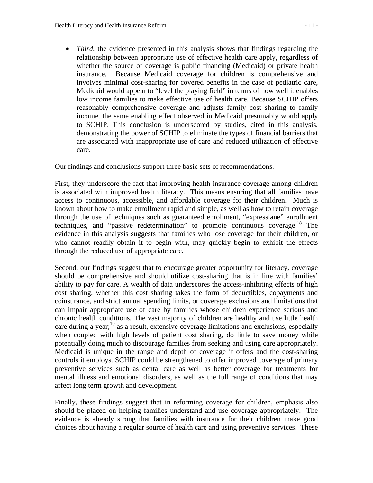• *Third*, the evidence presented in this analysis shows that findings regarding the relationship between appropriate use of effective health care apply, regardless of whether the source of coverage is public financing (Medicaid) or private health insurance. Because Medicaid coverage for children is comprehensive and involves minimal cost-sharing for covered benefits in the case of pediatric care, Medicaid would appear to "level the playing field" in terms of how well it enables low income families to make effective use of health care. Because SCHIP offers reasonably comprehensive coverage and adjusts family cost sharing to family income, the same enabling effect observed in Medicaid presumably would apply to SCHIP. This conclusion is underscored by studies, cited in this analysis, demonstrating the power of SCHIP to eliminate the types of financial barriers that are associated with inappropriate use of care and reduced utilization of effective care.

Our findings and conclusions support three basic sets of recommendations.

First, they underscore the fact that improving health insurance coverage among children is associated with improved health literacy. This means ensuring that all families have access to continuous, accessible, and affordable coverage for their children. Much is known about how to make enrollment rapid and simple, as well as how to retain coverage through the use of techniques such as guaranteed enrollment, "expresslane" enrollment techniques, and "passive redetermination" to promote continuous coverage.18 The evidence in this analysis suggests that families who lose coverage for their children, or who cannot readily obtain it to begin with, may quickly begin to exhibit the effects through the reduced use of appropriate care.

Second, our findings suggest that to encourage greater opportunity for literacy, coverage should be comprehensive and should utilize cost-sharing that is in line with families' ability to pay for care. A wealth of data underscores the access-inhibiting effects of high cost sharing, whether this cost sharing takes the form of deductibles, copayments and coinsurance, and strict annual spending limits, or coverage exclusions and limitations that can impair appropriate use of care by families whose children experience serious and chronic health conditions. The vast majority of children are healthy and use little health care during a year;  $19$  as a result, extensive coverage limitations and exclusions, especially when coupled with high levels of patient cost sharing, do little to save money while potentially doing much to discourage families from seeking and using care appropriately. Medicaid is unique in the range and depth of coverage it offers and the cost-sharing controls it employs. SCHIP could be strengthened to offer improved coverage of primary preventive services such as dental care as well as better coverage for treatments for mental illness and emotional disorders, as well as the full range of conditions that may affect long term growth and development.

Finally, these findings suggest that in reforming coverage for children, emphasis also should be placed on helping families understand and use coverage appropriately. The evidence is already strong that families with insurance for their children make good choices about having a regular source of health care and using preventive services. These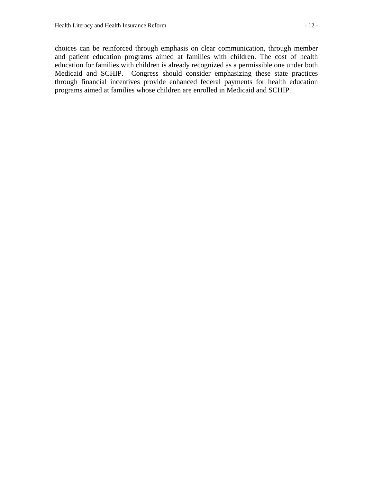choices can be reinforced through emphasis on clear communication, through member and patient education programs aimed at families with children. The cost of health education for families with children is already recognized as a permissible one under both Medicaid and SCHIP. Congress should consider emphasizing these state practices through financial incentives provide enhanced federal payments for health education programs aimed at families whose children are enrolled in Medicaid and SCHIP.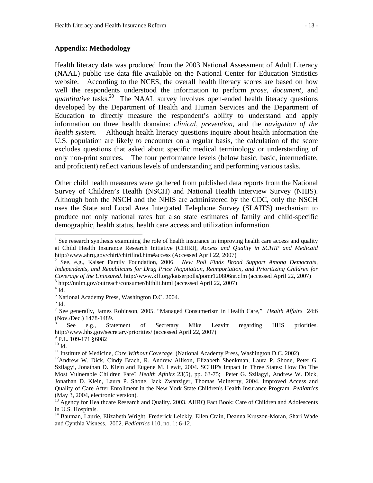Health literacy data was produced from the 2003 National Assessment of Adult Literacy (NAAL) public use data file available on the National Center for Education Statistics website. According to the NCES, the overall health literacy scores are based on how well the respondents understood the information to perform *prose, document,* and *quantitative* tasks.<sup>20</sup> The NAAL survey involves open-ended health literacy questions developed by the Department of Health and Human Services and the Department of Education to directly measure the respondent's ability to understand and apply information on three health domains: *clinical, prevention*, and the *navigation of the health system*. Although health literacy questions inquire about health information the U.S. population are likely to encounter on a regular basis, the calculation of the score excludes questions that asked about specific medical terminology or understanding of only non-print sources. The four performance levels (below basic, basic, intermediate, and proficient) reflect various levels of understanding and performing various tasks.

Other child health measures were gathered from published data reports from the National Survey of Children's Health (NSCH) and National Health Interview Survey (NHIS). Although both the NSCH and the NHIS are administered by the CDC, only the NSCH uses the State and Local Area Integrated Telephone Survey (SLAITS) mechanism to produce not only national rates but also state estimates of family and child-specific demographic, health status, health care access and utilization information.

 $\overline{a}$ 

- $^{9}$  P.L. 109-171 §6082
- 

 $<sup>1</sup>$  See research synthesis examining the role of health insurance in improving health care access and quality</sup> at Child Health Insurance Research Initiative (CHIRI), *Access and Quality in SCHIP and Medicaid*  http://www.ahrq.gov/chiri/chirifind.htm#access (Accessed April 22, 2007) 2

See, e.g., Kaiser Family Foundation, 2006. *New Poll Finds Broad Support Among Democrats, Independents, and Republicans for Drug Price Negotiation, Reimportation, and Prioritizing Children for Coverage of the Uninsured*. http://www.kff.org/kaiserpolls/pomr120806nr.cfm (accessed April 22, 2007) 3  $3$  http://nnlm.gov/outreach/consumer/hlthlit.html (accessed April 22, 2007)

 $4$  Id.

<sup>&</sup>lt;sup>5</sup> National Academy Press, Washington D.C. 2004.

 $^6$  Id.

<sup>7</sup> See generally, James Robinson, 2005. "Managed Consumerism in Health Care," *Health Affairs* 24:6 (Nov./Dec.) 1478-1489.

<sup>8</sup> See e.g., Statement of Secretary Mike Leavitt regarding HHS priorities. http://www.hhs.gov/secretary/priorities/ (accessed April 22, 2007)

<sup>&</sup>lt;sup>10</sup> Id.<br><sup>11</sup> Institute of Medicine, *Care Without Coverage* (National Academy Press, Washington D.C. 2002)

<sup>&</sup>lt;sup>12</sup> Andrew W. Dick, Cindy Brach, R. Andrew Allison, Elizabeth Shenkman, Laura P. Shone, Peter G. Szilagyi, Jonathan D. Klein and Eugene M. Lewit, 2004. SCHIP's Impact In Three States: How Do The Most Vulnerable Children Fare? *Health Affairs* 23(5), pp. 63-75; Peter G. Szilagyi, Andrew W. Dick, Jonathan D. Klein, Laura P. Shone, Jack Zwanziger, Thomas McInerny, 2004. Improved Access and Quality of Care After Enrollment in the New York State Children's Health Insurance Program. *Pediatrics*  (May 3, 2004, electronic version).

<sup>&</sup>lt;sup>13</sup> Agency for Healthcare Research and Quality. 2003. AHRQ Fact Book: Care of Children and Adolescents in U.S. Hospitals.

<sup>&</sup>lt;sup>14</sup> Bauman, Laurie, Elizabeth Wright, Frederick Leickly, Ellen Crain, Deanna Kruszon-Moran, Shari Wade and Cynthia Visness. 2002. *Pediatrics* 110, no. 1: 6-12.